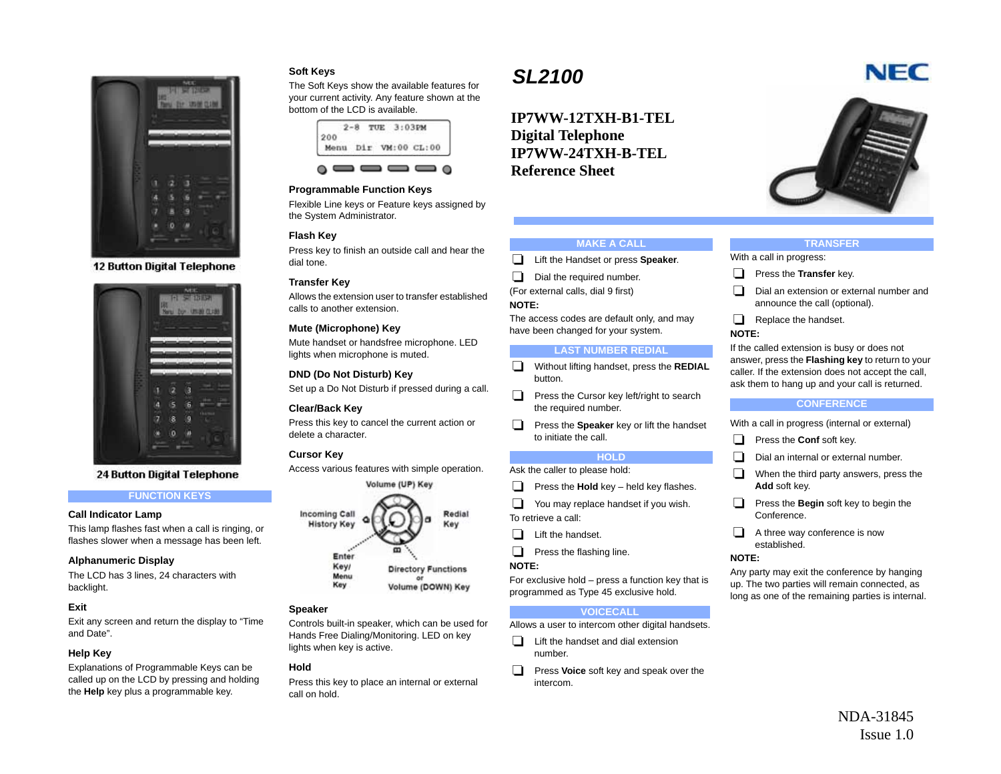

**12 Button Digital Telephone** 



**24 Button Digital Telephone** 

## **FUNCTION KEYS**

#### **Call Indicator Lamp**

This lamp flashes fast when a call is ringing, or flashes slower when a message has been left.

## **Alphanumeric Display**

The LCD has 3 lines, 24 characters with backlight.

## **Exit**

Exit any screen and return the display to "Time and Date".

## **Help Key**

Explanations of Programmable Keys can be called up on the LCD by pressing and holding the **Help** key plus a programmable key.

## **Soft Keys**

The Soft Keys show the available features for your current activity. Any feature shown at the bottom of the LCD is available.



## **Programmable Function Keys**

Flexible Line keys or Feature keys assigned by the System Administrator.

## **Flash Key**

Press key to finish an outside call and hear the dial tone.

## **Transfer Key**

Allows the extension user to transfer established calls to another extension.

## **Mute (Microphone) Key**

Mute handset or handsfree microphone. LED lights when microphone is muted.

## **DND (Do Not Disturb) Key**

Set up a Do Not Disturb if pressed during a call.

#### **Clear/Back Key**

Press this key to cancel the current action or delete a character.

## **Cursor Key**

Access various features with simple operation.



## **Speaker**

Controls built-in speaker, which can be used for Hands Free Dialing/Monitoring. LED on key lights when key is active.

#### **Hold**

Press this key to place an internal or external call on hold.

# *SL2100*

**IP7WW-12TXH-B1-TELDigital Telephone IP7WW-24TXH-B-TELReference Sheet**



#### **MAKE A CALL**

**Lift the Handset or press Speaker.** 

- Dial the required number.
- (For external calls, dial 9 first)

# **NOTE:**

The access codes are default only, and may have been changed for your system.

#### **LAST NUMBER REDIAL**

- Without lifting handset, press the **REDIAL** button.
- $\Box$  Press the Cursor key left/right to search the required number.
- **Press the Speaker** key or lift the handset to initiate the call.

## **HOLD**

Ask the caller to please hold:

- **Press the Hold** key held key flashes.
- $\Box$  You may replace handset if you wish. To retrieve a call:
- $\Box$  Lift the handset.
- $\Box$  Press the flashing line.

#### **NOTE:**

For exclusive hold – press a function key that is programmed as Type 45 exclusive hold.

## **VOICECALL**

Allows a user to intercom other digital handsets.

- $\Box$  Lift the handset and dial extension number.
- **Press Voice** soft key and speak over the intercom.

#### **TRANSFER**

With a call in progress:

- **Press the Transfer** key.
- $\Box$  Dial an extension or external number and announce the call (optional).
- $\Box$  Replace the handset.

# **NOTE:**

If the called extension is busy or does not answer, press the **Flashing key** to return to your caller. If the extension does not accept the call, ask them to hang up and your call is returned.

#### **CONFERENCE**

With a call in progress (internal or external)

- **Press the Conf soft key.**
- Dial an internal or external number.
- $\Box$  When the third party answers, press the **Add** soft key.
- **Press the Begin soft key to begin the** Conference.
- $\Box$  A three way conference is now established.

#### **NOTE:**

Any party may exit the conference by hanging up. The two parties will remain connected, as long as one of the remaining parties is internal.